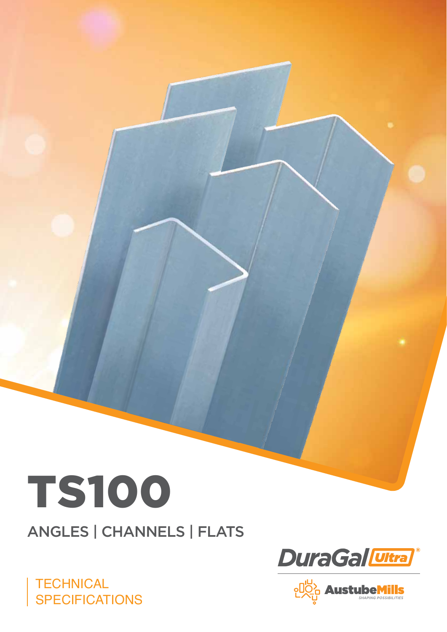

ANGLES | CHANNELS | FLATS





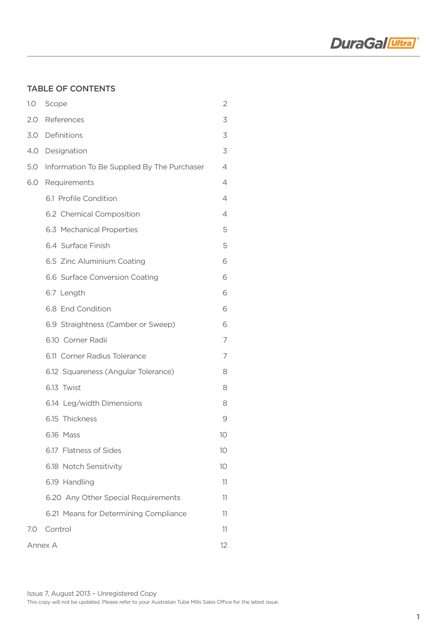

## Table of Contents

| 1.0     | Scope                                       | 2               |  |  |  |
|---------|---------------------------------------------|-----------------|--|--|--|
|         | 2.0 References                              | 3               |  |  |  |
|         | 3.0 Definitions                             | 3               |  |  |  |
|         | 4.0 Designation                             | 3               |  |  |  |
| 5.0     | Information To Be Supplied By The Purchaser | 4               |  |  |  |
| 6.0     | Requirements                                | 4               |  |  |  |
|         | 6.1 Profile Condition                       | 4               |  |  |  |
|         | 6.2 Chemical Composition                    | 4               |  |  |  |
|         | 6.3 Mechanical Properties                   | 5               |  |  |  |
|         | 6.4 Surface Finish                          | 5               |  |  |  |
|         | 6.5 Zinc Aluminium Coating                  | 6               |  |  |  |
|         | 6.6 Surface Conversion Coating              | 6               |  |  |  |
|         | 6.7 Length                                  | 6               |  |  |  |
|         | 6.8 End Condition                           | 6               |  |  |  |
|         | 6.9 Straightness (Camber or Sweep)          | 6               |  |  |  |
|         | 6.10 Corner Radii                           | 7               |  |  |  |
|         | 6.11 Corner Radius Tolerance                | 7               |  |  |  |
|         | 6.12 Squareness (Angular Tolerance)         | 8               |  |  |  |
|         | 6.13 Twist                                  | 8               |  |  |  |
|         | 6.14 Leg/width Dimensions                   | 8               |  |  |  |
|         | 6.15 Thickness                              | 9               |  |  |  |
|         | 6.16 Mass                                   | 10              |  |  |  |
|         | 6.17 Flatness of Sides                      | 10 <sup>°</sup> |  |  |  |
|         | 6.18 Notch Sensitivity                      | 10              |  |  |  |
|         | 6.19 Handling                               | 11              |  |  |  |
|         | 6.20 Any Other Special Requirements         | 11              |  |  |  |
|         | 6.21 Means for Determining Compliance       |                 |  |  |  |
| 7.0     | Control                                     | 11              |  |  |  |
| Annex A |                                             |                 |  |  |  |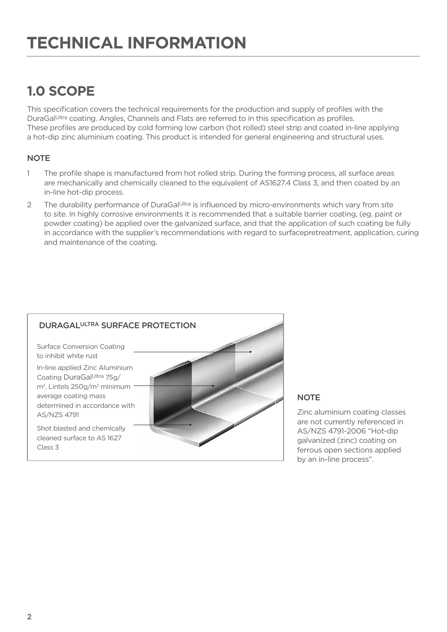# **1.0 Scope**

This specification covers the technical requirements for the production and supply of profiles with the DuraGal<sup>Ultra</sup> coating. Angles, Channels and Flats are referred to in this specification as profiles. These profiles are produced by cold forming low carbon (hot rolled) steel strip and coated in-line applying a hot-dip zinc aluminium coating. This product is intended for general engineering and structural uses.

# **NOTE**

- 1 The profile shape is manufactured from hot rolled strip. During the forming process, all surface areas are mechanically and chemically cleaned to the equivalent of AS1627.4 Class 3, and then coated by an in-line hot-dip process.
- 2 The durability performance of DuraGal<sup>Ultra</sup> is influenced by micro-environments which vary from site to site. In highly corrosive environments it is recommended that a suitable barrier coating, (eg. paint or powder coating) be applied over the galvanized surface, and that the application of such coating be fully in accordance with the supplier's recommendations with regard to surfacepretreatment, application, curing and maintenance of the coating.



# **NOTE**

Zinc aluminium coating classes are not currently referenced in AS/NZS 4791-2006 "Hot-dip galvanized (zinc) coating on ferrous open sections applied by an in-line process".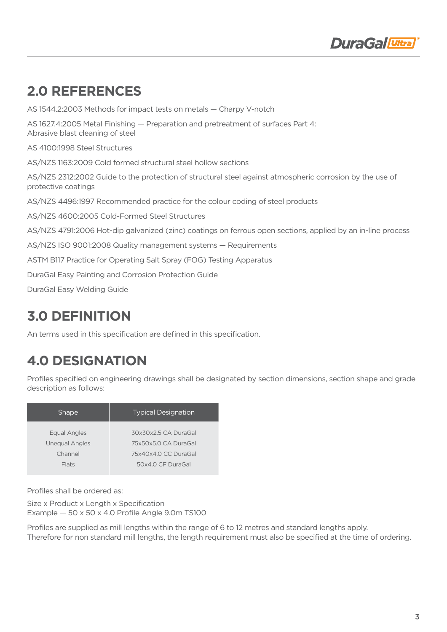

# **2.0 References**

AS 1544.2:2003 Methods for impact tests on metals — Charpy V-notch AS 1627.4:2005 Metal Finishing — Preparation and pretreatment of surfaces Part 4: Abrasive blast cleaning of steel AS 4100:1998 Steel Structures AS/NZS 1163:2009 Cold formed structural steel hollow sections AS/NZS 2312:2002 Guide to the protection of structural steel against atmospheric corrosion by the use of protective coatings AS/NZS 4496:1997 Recommended practice for the colour coding of steel products AS/NZS 4600:2005 Cold-Formed Steel Structures AS/NZS 4791:2006 Hot-dip galvanized (zinc) coatings on ferrous open sections, applied by an in-line process AS/NZS ISO 9001:2008 Quality management systems — Requirements ASTM B117 Practice for Operating Salt Spray (FOG) Testing Apparatus DuraGal Easy Painting and Corrosion Protection Guide DuraGal Easy Welding Guide

# **3.0 Definition**

An terms used in this specification are defined in this specification.

# **4.0 Designation**

Profiles specified on engineering drawings shall be designated by section dimensions, section shape and grade description as follows:

| <b>Shape</b>          | <b>Typical Designation</b> |
|-----------------------|----------------------------|
| Equal Angles          | 30x30x2.5 CA DuraGal       |
| <b>Unequal Angles</b> | 75x50x5.0 CA DuraGal       |
| Channel               | 75x40x4.0 CC DuraGal       |
| Flats                 | 50x4.0 CF DuraGal          |
|                       |                            |

Profiles shall be ordered as:

Size x Product x Length x Specification Example  $-50 \times 50 \times 4.0$  Profile Angle 9.0m TS100

Profiles are supplied as mill lengths within the range of 6 to 12 metres and standard lengths apply. Therefore for non standard mill lengths, the length requirement must also be specified at the time of ordering.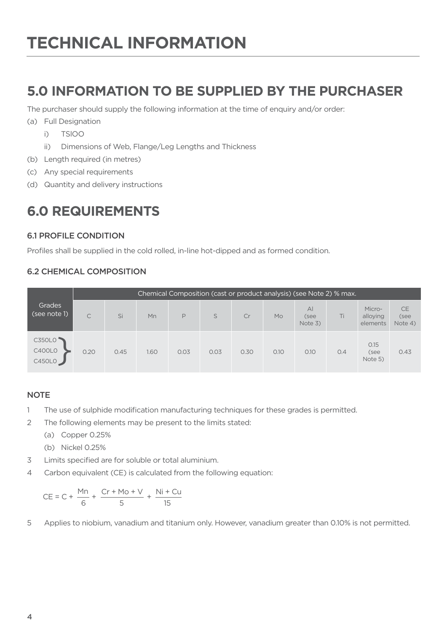# **5.0 Information To Be Supplied By The Purchaser**

The purchaser should supply the following information at the time of enquiry and/or order:

- (a) Full Designation
	- i) TSlOO
	- ii) Dimensions of Web, Flange/Leg Lengths and Thickness
- (b) Length required (in metres)
- (c) Any special requirements
- (d) Quantity and delivery instructions

# **6.0 Requirements**

### 6.1 PROFILE CONDITION

Profiles shall be supplied in the cold rolled, in-line hot-dipped and as formed condition.

### 6.2 Chemical Composition

|                                   | Chemical Composition (cast or product analysis) (see Note 2) % max. |      |      |      |      |      |      |                                   |     |                                |                              |
|-----------------------------------|---------------------------------------------------------------------|------|------|------|------|------|------|-----------------------------------|-----|--------------------------------|------------------------------|
| Grades<br>(see note 1)            | C                                                                   | Si   | Mn   | P    | S    | Cr   | Mo   | $\overline{A}$<br>(see<br>Note 3) | Ti  | Micro-<br>alloying<br>elements | <b>CE</b><br>(see<br>Note 4) |
| C350L0<br><b>C400L0</b><br>C450L0 | 0.20                                                                | 0.45 | 1.60 | 0.03 | 0.03 | 0.30 | O.1O | 0.10                              | O.4 | 0.15<br>(see<br>Note 5)        | 0.43                         |

#### **NOTE**

- 1 The use of sulphide modification manufacturing techniques for these grades is permitted.
- 2 The following elements may be present to the limits stated:

(a) Copper 0.25%

(b) Nickel 0.25%

- 3 Limits specified are for soluble or total aluminium.
- 4 Carbon equivalent (CE) is calculated from the following equation:

$$
CE = C + \frac{Mn}{6} + \frac{Cr + Mo + V}{5} + \frac{Ni + Cu}{15}
$$

5 Applies to niobium, vanadium and titanium only. However, vanadium greater than 0.10% is not permitted.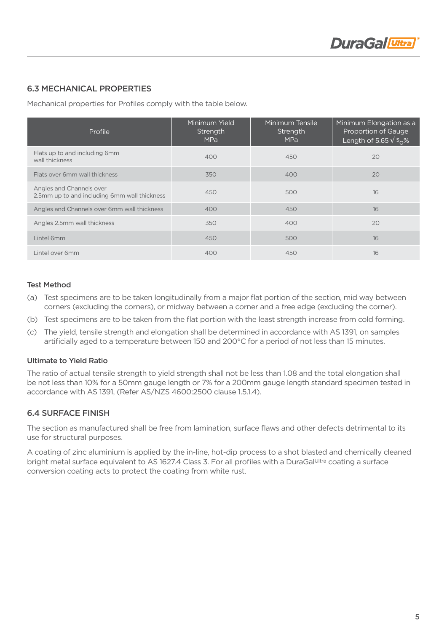### 6.3 Mechanical Properties

Mechanical properties for Profiles comply with the table below.

| Profile                                                                  | Minimum Yield<br>Strength<br><b>MPa</b> | Minimum Tensile<br>Strength<br><b>MPa</b> | Minimum Elongation as a<br>Proportion of Gauge<br>Length of 5.65 $\sqrt{s_0\%}$ |
|--------------------------------------------------------------------------|-----------------------------------------|-------------------------------------------|---------------------------------------------------------------------------------|
| Flats up to and including 6mm<br>wall thickness                          | 400                                     | 450                                       | 20                                                                              |
| Flats over 6mm wall thickness                                            | 350                                     | 400                                       | 20                                                                              |
| Angles and Channels over<br>2.5mm up to and including 6mm wall thickness | 450                                     | 500                                       | 16                                                                              |
| Angles and Channels over 6mm wall thickness                              | 400                                     | 450                                       | 16                                                                              |
| Angles 2.5mm wall thickness                                              | 350                                     | 400                                       | 20                                                                              |
| Lintel 6mm                                                               | 450                                     | 500                                       | 16                                                                              |
| Lintel over 6mm                                                          | 400                                     | 450                                       | 16                                                                              |

#### Test Method

- (a) Test specimens are to be taken longitudinally from a major flat portion of the section, mid way between corners (excluding the corners), or midway between a corner and a free edge (excluding the corner).
- (b) Test specimens are to be taken from the flat portion with the least strength increase from cold forming.
- (c) The yield, tensile strength and elongation shall be determined in accordance with AS 1391, on samples artificially aged to a temperature between 150 and 200°C for a period of not less than 15 minutes.

#### Ultimate to Yield Ratio

The ratio of actual tensile strength to yield strength shall not be less than 1.08 and the total elongation shall be not less than 10% for a 50mm gauge length or 7% for a 200mm gauge length standard specimen tested in accordance with AS 1391, (Refer AS/NZS 4600:2500 clause 1.5.1.4).

### 6.4 Surface Finish

The section as manufactured shall be free from lamination, surface flaws and other defects detrimental to its use for structural purposes.

A coating of zinc aluminium is applied by the in-line, hot-dip process to a shot blasted and chemically cleaned bright metal surface equivalent to AS 1627.4 Class 3. For all profiles with a DuraGalUltra coating a surface conversion coating acts to protect the coating from white rust.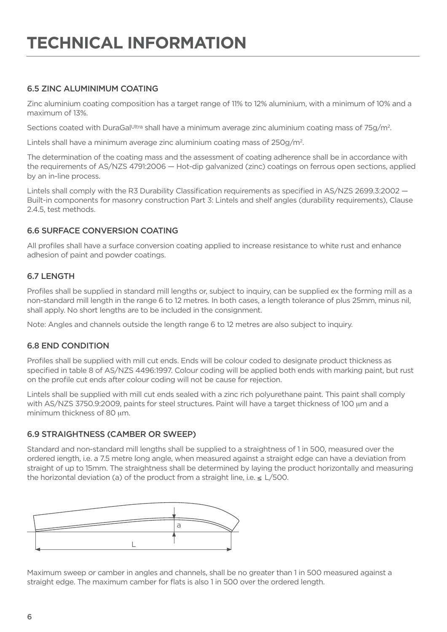### 6.5 Zinc ALUMINIMUM Coating

Zinc aluminium coating composition has a target range of 11% to 12% aluminium, with a minimum of 10% and a maximum of 13%.

Sections coated with DuraGal<sup>Ultra</sup> shall have a minimum average zinc aluminium coating mass of 75g/m<sup>2</sup>.

Lintels shall have a minimum average zinc aluminium coating mass of 250g/m2 .

The determination of the coating mass and the assessment of coating adherence shall be in accordance with the requirements of AS/NZS 4791:2006 — Hot-dip galvanized (zinc) coatings on ferrous open sections, applied by an in-line process.

Lintels shall comply with the R3 Durability Classification requirements as specified in AS/NZS 2699.3:2002 — Built-in components for masonry construction Part 3: Lintels and shelf angles (durability requirements), Clause 2.4.5, test methods.

### 6.6 Surface Conversion Coating

All profiles shall have a surface conversion coating applied to increase resistance to white rust and enhance adhesion of paint and powder coatings.

#### **6.7 LENGTH**

Profiles shall be supplied in standard mill lengths or, subject to inquiry, can be supplied ex the forming mill as a non-standard mill length in the range 6 to 12 metres. In both cases, a length tolerance of plus 25mm, minus nil, shall apply. No short lengths are to be included in the consignment.

Note: Angles and channels outside the length range 6 to 12 metres are also subject to inquiry.

#### 6.8 End Condition

Profiles shall be supplied with mill cut ends. Ends will be colour coded to designate product thickness as specified in table 8 of AS/NZS 4496:1997. Colour coding will be applied both ends with marking paint, but rust on the profile cut ends after colour coding will not be cause for rejection.

Lintels shall be supplied with mill cut ends sealed with a zinc rich polyurethane paint. This paint shall comply with AS/NZS 3750.9:2009, paints for steel structures. Paint will have a target thickness of 100 μm and a minimum thickness of 80 μm.

#### 6.9 Straightness (Camber or Sweep)

Standard and non-standard mill lengths shall be supplied to a straightness of 1 in 500, measured over the ordered iength, i.e. a 7.5 metre long angle, when measured against a straight edge can have a deviation from straight of up to 15mm. The straightness shall be determined by laying the product horizontally and measuring the horizontal deviation (a) of the product from a straight line, i.e.  $\leq L/500$ .



Maximum sweep or camber in angles and channels, shall be no greater than 1 in 500 measured against a straight edge. The maximum camber for flats is also 1 in 500 over the ordered length.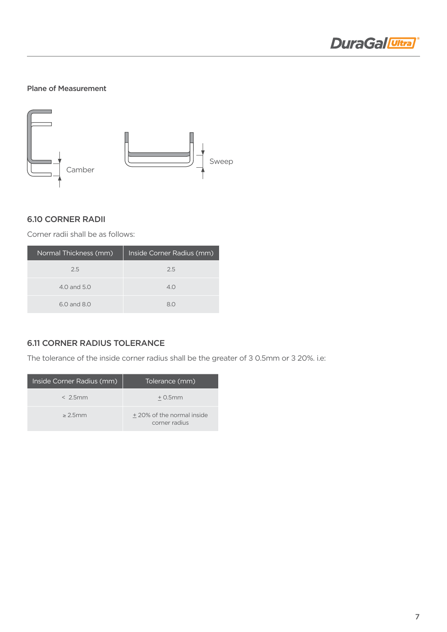

#### Plane of Measurement



#### 6.10 Corner Radii

Corner radii shall be as follows:

| Normal Thickness (mm) | Inside Corner Radius (mm) |
|-----------------------|---------------------------|
| 2.5                   | 2.5                       |
| 4.0 and 5.0           | 4.0                       |
| 6.0 and 8.0           | 80                        |

## 6.11 Corner Radius Tolerance

The tolerance of the inside corner radius shall be the greater of 3 0.5mm or 3 20%, i.e:

| Inside Corner Radius (mm) | Tolerance (mm)                             |
|---------------------------|--------------------------------------------|
| $< 2.5$ mm                | $+0.5$ mm                                  |
| > 2.5mm                   | +20% of the normal inside<br>corner radius |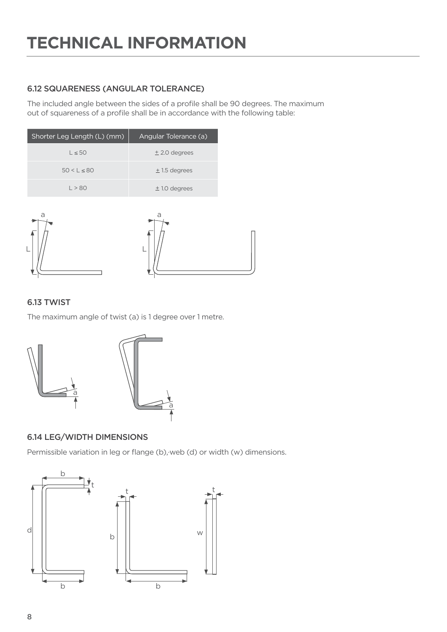# 6.12 Squareness (Angular Tolerance)

The included angle between the sides of a profile shall be 90 degrees. The maximum out of squareness of a profile shall be in accordance with the following table:

| Shorter Leg Length (L) (mm) | Angular Tolerance (a) |
|-----------------------------|-----------------------|
| $L \leq 50$                 | $±$ 2.0 degrees       |
| $50 < L \leq 80$            | $± 1.5$ degrees       |
| 1 > 80                      | $± 1.0$ degrees       |



## 6.13 Twist

The maximum angle of twist (a) is 1 degree over 1 metre.



# 6.14 Leg/Width Dimensions

Permissible variation in leg or flange (b),·web (d) or width (w) dimensions.

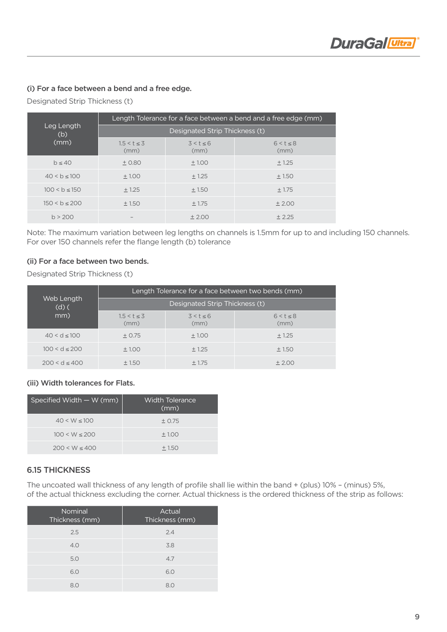#### (i) For a face between a bend and a free edge.

Designated Strip Thickness (t)

|                   | Length Tolerance for a face between a bend and a free edge (mm) |                        |                        |  |  |  |
|-------------------|-----------------------------------------------------------------|------------------------|------------------------|--|--|--|
| Leg Length<br>(b) | Designated Strip Thickness (t)                                  |                        |                        |  |  |  |
| (mm)              | $1.5 < t \le 3$<br>(mm)                                         | $3 < t \leq 6$<br>(mm) | $6 < t \leq 8$<br>(mm) |  |  |  |
| h < 40            | $+0.80$                                                         | $+1.00$                | $+1.25$                |  |  |  |
| 40 < b < 100      | ±1.00                                                           | ± 1.25                 | ±1.50                  |  |  |  |
| $100 < b \le 150$ | ± 1.25                                                          | ±1.50                  | ± 1.75                 |  |  |  |
| $150 < b \le 200$ | ±1.50                                                           | ± 1.75                 | ±2.00                  |  |  |  |
| h > 200           |                                                                 | ± 2.00                 | $+2.25$                |  |  |  |

Note: The maximum variation between leg lengths on channels is 1.5mm for up to and including 150 channels. For over 150 channels refer the flange length (b) tolerance

#### (ii) For a face between two bends.

Designated Strip Thickness (t)

|                       | Length Tolerance for a face between two bends (mm) |                   |                   |  |  |  |
|-----------------------|----------------------------------------------------|-------------------|-------------------|--|--|--|
| Web Length<br>$(d)$ ( | Designated Strip Thickness (t)                     |                   |                   |  |  |  |
| mm)                   | $1.5 < t \le 3$<br>(mm)                            | 3 < t < 6<br>(mm) | 6 < t < 8<br>(mm) |  |  |  |
| $40 < d \le 100$      | ± 0.75                                             | ±1.00             | ± 1.25            |  |  |  |
| $100 < d \le 200$     | ±1.00                                              | $+1.25$           | ± 1.50            |  |  |  |
| $200 < d \leq 400$    | ±1.50                                              | ± 1.75            | ± 2.00            |  |  |  |

(iii) Width tolerances for Flats.

| Specified Width $-$ W (mm) | Width Tolerance<br>(mm) |
|----------------------------|-------------------------|
| $40 < W \le 100$           | ± 0.75                  |
| $100 \le W \le 200$        | ±1.00                   |
| $200 \le W < 400$          | $+1.50$                 |

#### 6.15 Thickness

The uncoated wall thickness of any length of profile shall lie within the band + (plus) 10% – (minus) 5%, of the actual thickness excluding the corner. Actual thickness is the ordered thickness of the strip as follows:

| <b>Nominal</b><br>Thickness (mm) | Actual<br>Thickness (mm) |
|----------------------------------|--------------------------|
| 2.5                              | 2.4                      |
| 4.0                              | 3.8                      |
| 5.0                              | 4.7                      |
| 6.0                              | 6.0                      |
| 80                               | 8 <sup>c</sup>           |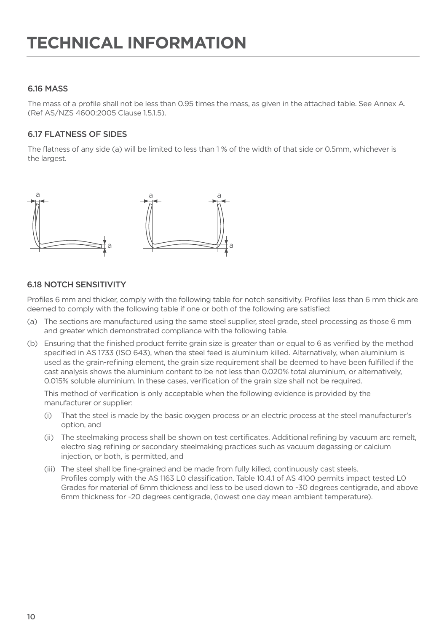### 6.16 Mass

The mass of a profile shall not be less than 0.95 times the mass, as given in the attached table. See Annex A. (Ref AS/NZS 4600:2005 Clause 1.5.1.5).

### 6.17 Flatness of Sides

The flatness of any side (a) will be limited to less than 1 % of the width of that side or 0.5mm, whichever is the largest.



### 6.18 Notch Sensitivity

Profiles 6 mm and thicker, comply with the following table for notch sensitivity. Profiles less than 6 mm thick are deemed to comply with the following table if one or both of the following are satisfied:

- (a) The sections are manufactured using the same steel supplier, steel grade, steel processing as those 6 mm and greater which demonstrated compliance with the following table.
- (b) Ensuring that the finished product ferrite grain size is greater than or equal to 6 as verified by the method specified in AS 1733 (ISO 643), when the steel feed is aluminium killed. Alternatively, when aluminium is used as the grain-refining element, the grain size requirement shall be deemed to have been fulfilled if the cast analysis shows the aluminium content to be not less than 0.020% total aluminium, or alternatively, 0.015% soluble aluminium. In these cases, verification of the grain size shall not be required.

This method of verification is only acceptable when the following evidence is provided by the manufacturer or supplier:

- (i) That the steel is made by the basic oxygen process or an electric process at the steel manufacturer's option, and
- (ii) The steelmaking process shall be shown on test certificates. Additional refining by vacuum arc remelt, electro slag refining or secondary steelmaking practices such as vacuum degassing or calcium injection, or both, is permitted, and
- (iii) The steel shall be fine-grained and be made from fully killed, continuously cast steels. Profiles comply with the AS 1163 L0 classification. Table 10.4.1 of AS 4100 permits impact tested L0 Grades for material of 6mm thickness and less to be used down to -30 degrees centigrade, and above 6mm thickness for -20 degrees centigrade, (lowest one day mean ambient temperature).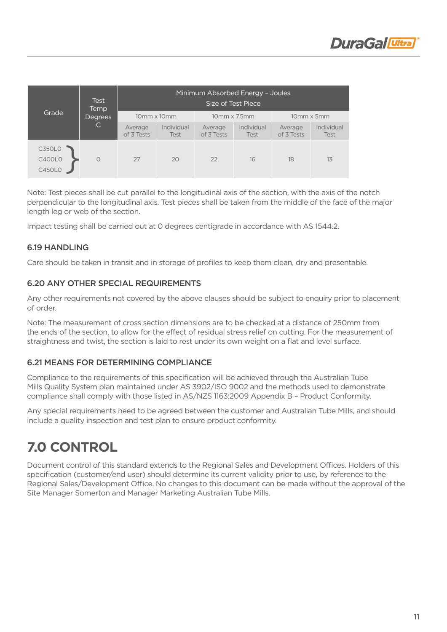|                                                 | Test<br>Temp        |                       |                    |                                     | Minimum Absorbed Energy - Joules<br>Size of Test Piece |                       |                    |
|-------------------------------------------------|---------------------|-----------------------|--------------------|-------------------------------------|--------------------------------------------------------|-----------------------|--------------------|
| Grade                                           | <b>Degrees</b><br>C | $10mm \times 10mm$    |                    | $10 \text{mm} \times 7.5 \text{mm}$ |                                                        | 10mm x 5mm            |                    |
|                                                 |                     | Average<br>of 3 Tests | Individual<br>Test | Average<br>of 3 Tests               | Individual<br><b>Test</b>                              | Average<br>of 3 Tests | Individual<br>Test |
| <b>C350L0</b><br><b>C400L0</b><br><b>C450L0</b> | $\circ$             | 27                    | 20                 | 22                                  | 16                                                     | 18                    | 13                 |

Note: Test pieces shall be cut parallel to the longitudinal axis of the section, with the axis of the notch perpendicular to the longitudinal axis. Test pieces shall be taken from the middle of the face of the major length leg or web of the section.

Impact testing shall be carried out at 0 degrees centigrade in accordance with AS 1544.2.

#### 6.19 HANDLING

Care should be taken in transit and in storage of profiles to keep them clean, dry and presentable.

#### 6.20 Any Other Special Requirements

Any other requirements not covered by the above clauses should be subject to enquiry prior to placement of order.

Note: The measurement of cross section dimensions are to be checked at a distance of 250mm from the ends of the section, to allow for the effect of residual stress relief on cutting. For the measurement of straightness and twist, the section is laid to rest under its own weight on a flat and level surface.

#### 6.21 Means for Determining Compliance

Compliance to the requirements of this specification will be achieved through the Australian Tube Mills Quality System plan maintained under AS 3902/ISO 9002 and the methods used to demonstrate compliance shall comply with those listed in AS/NZS 1163:2009 Appendix B – Product Conformity.

Any special requirements need to be agreed between the customer and Australian Tube Mills, and should include a quality inspection and test plan to ensure product conformity.

# **7.0 Control**

Document control of this standard extends to the Regional Sales and Development Offices. Holders of this specification (customer/end user) should determine its current validity prior to use, by reference to the Regional Sales/Development Office. No changes to this document can be made without the approval of the Site Manager Somerton and Manager Marketing Australian Tube Mills.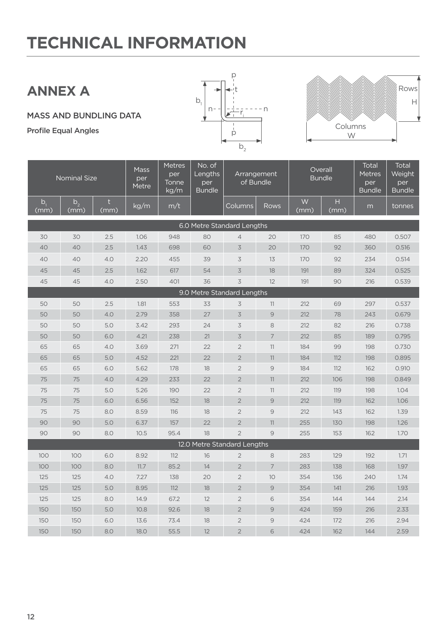# **Annex a**

mass and bundling data

Profile Equal Angles





| <b>Nominal Size</b>           |                        |           | <b>Mass</b><br>per<br>Metre | <b>Metres</b><br>per<br>Tonne<br>kg/m | No. of<br>Lengths<br>per<br><b>Bundle</b> | Arrangement<br>of Bundle |                | Overall<br><b>Bundle</b> |                      | Total<br><b>Metres</b><br>per<br><b>Bundle</b> | <b>Total</b><br>Weight<br>per<br><b>Bundle</b> |
|-------------------------------|------------------------|-----------|-----------------------------|---------------------------------------|-------------------------------------------|--------------------------|----------------|--------------------------|----------------------|------------------------------------------------|------------------------------------------------|
| b <sub>1</sub><br><u>(mm)</u> | b <sub>2</sub><br>(mm) | t<br>(mm) | kg/m                        | m/t                                   |                                           | Columns                  | Rows           | W<br>(mm)                | $\mathsf{H}$<br>(mm) | m                                              | tonnes                                         |
| 6.0 Metre Standard Lengths    |                        |           |                             |                                       |                                           |                          |                |                          |                      |                                                |                                                |
| 30                            | 30                     | 2.5       | 1.06                        | 948                                   | 80                                        | $\overline{4}$           | 20             | 170                      | 85                   | 480                                            | 0.507                                          |
| 40                            | 40                     | 2.5       | 1.43                        | 698                                   | 60                                        | $\overline{3}$           | 20             | 170                      | 92                   | 360                                            | 0.516                                          |
| 40                            | 40                     | 4.0       | 2.20                        | 455                                   | 39                                        | 3                        | 13             | 170                      | 92                   | 234                                            | 0.514                                          |
| 45                            | 45                     | 2.5       | 1.62                        | 617                                   | 54                                        | 3                        | 18             | 191                      | 89                   | 324                                            | 0.525                                          |
| 45                            | 45                     | 4.0       | 2.50                        | 401                                   | 36                                        | 3                        | 12             | 191                      | 90                   | 216                                            | 0.539                                          |
| 9.0 Metre Standard Lengths    |                        |           |                             |                                       |                                           |                          |                |                          |                      |                                                |                                                |
| 50                            | 50                     | 2.5       | 1.81                        | 553                                   | 33                                        | 3                        | 11             | 212                      | 69                   | 297                                            | 0.537                                          |
| 50                            | 50                     | 4.0       | 2.79                        | 358                                   | 27                                        | $\overline{3}$           | $\mathcal{Q}$  | 212                      | 78                   | 243                                            | 0.679                                          |
| 50                            | 50                     | 5.0       | 3.42                        | 293                                   | 24                                        | 3                        | 8              | 212                      | 82                   | 216                                            | 0.738                                          |
| 50                            | 50                     | 6.0       | 4.21                        | 238                                   | 21                                        | $\overline{3}$           | $\overline{7}$ | 212                      | 85                   | 189                                            | 0.795                                          |
| 65                            | 65                     | 4.0       | 3.69                        | 271                                   | 22                                        | $\overline{2}$           | 11             | 184                      | 99                   | 198                                            | 0.730                                          |
| 65                            | 65                     | 5.0       | 4.52                        | 221                                   | 22                                        | $\overline{2}$           | 11             | 184                      | 112                  | 198                                            | 0.895                                          |
| 65                            | 65                     | 6.0       | 5.62                        | 178                                   | 18                                        | $\overline{2}$           | $\mathcal{G}$  | 184                      | 112                  | 162                                            | 0.910                                          |
| 75                            | 75                     | 4.0       | 4.29                        | 233                                   | 22                                        | $\overline{2}$           | 11             | 212                      | 106                  | 198                                            | 0.849                                          |
| 75                            | 75                     | 5.0       | 5.26                        | 190                                   | 22                                        | $\overline{2}$           | 11             | 212                      | 119                  | 198                                            | 1.04                                           |
| 75                            | 75                     | 6.0       | 6.56                        | 152                                   | 18                                        | $\overline{2}$           | $\Theta$       | 212                      | 119                  | 162                                            | 1.06                                           |
| 75                            | 75                     | 8.0       | 8.59                        | 116                                   | 18                                        | $\overline{2}$           | $\overline{9}$ | 212                      | 143                  | 162                                            | 1.39                                           |
| 90                            | 90                     | 5.0       | 6.37                        | 157                                   | 22                                        | $\overline{2}$           | 11             | 255                      | 130                  | 198                                            | 1.26                                           |
| 90                            | 90                     | 8.0       | 10.5                        | 95.4                                  | 18                                        | $\overline{2}$           | 9              | 255                      | 153                  | 162                                            | 1.70                                           |
| 12.0 Metre Standard Lengths   |                        |           |                             |                                       |                                           |                          |                |                          |                      |                                                |                                                |
| 100                           | 100                    | 6.0       | 8.92                        | 112                                   | 16                                        | $\overline{2}$           | 8              | 283                      | 129                  | 192                                            | 1.71                                           |
| 100                           | 100                    | 8.0       | 11.7                        | 85.2                                  | 14                                        | $\overline{2}$           | 7              | 283                      | 138                  | 168                                            | 1.97                                           |
| 125                           | 125                    | 4.0       | 7.27                        | 138                                   | 20                                        | $\overline{2}$           | 10             | 354                      | 136                  | 240                                            | 1.74                                           |
| 125                           | 125                    | 5.0       | 8.95                        | 112                                   | 18                                        | $\overline{2}$           | $\mathcal{Q}$  | 354                      | 141                  | 216                                            | 1.93                                           |
| 125                           | 125                    | 8.0       | 14.9                        | 67.2                                  | 12                                        | $\overline{2}$           | 6              | 354                      | 144                  | 144                                            | 2.14                                           |
| 150                           | 150                    | 5.0       | 10.8                        | 92.6                                  | 18                                        | $\overline{2}$           | $\mathcal{Q}$  | 424                      | 159                  | 216                                            | 2.33                                           |
| 150                           | 150                    | 6.0       | 13.6                        | 73.4                                  | 18                                        | $\overline{2}$           | 9              | 424                      | 172                  | 216                                            | 2.94                                           |
| 150                           | 150                    | 8.0       | 18.0                        | 55.5                                  | 12                                        | $\overline{2}$           | 6              | 424                      | 162                  | 144                                            | 2.59                                           |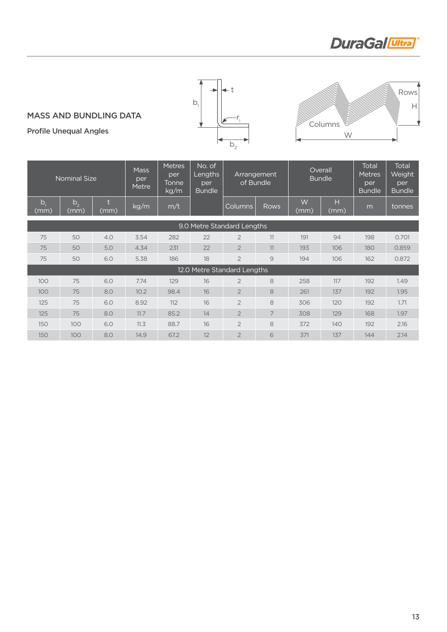# **DuraGal** Ultra



mass and bundling data

Profile Unequal Angles

# W **Columns** H Rows

#### Nominal Size Mass per Metre Metres per Tonne kg/m No. of Lengths per **Bundle** Arrangement of Bundle **Overall** Bundle Total Metres per **Bundle** Total Weight per Bundle  $b<sub>1</sub>$ (mm)  $b_{2}$ (mm) t  $\begin{array}{c|c|c|c} t & kg/m & m/t & \hline \end{array}$  Columns Rows W (mm) H  $\begin{array}{c} \n\Box \ (mm) \end{array}$  m tonnes 9.0 Metre Standard Lengths 75 50 4.0 3.54 282 22 2 11 191 94 198 0.701 75 50 5.0 4.34 231 22 2 11 193 106 180 0.859 75 50 6.0 5.38 186 18 2 9 194 106 162 0.872 12.0 Metre Standard Lengths 100 75 6.0 7.74 129 16 2 8 258 117 192 1.49 100 75 8.0 10.2 98.4 16 2 8 261 137 192 1.95 125 75 6.0 8.92 112 16 2 8 306 120 192 1.71 125 75 8.0 11.7 85.2 14 2 7 308 129 168 1.97 150 100 6.0 11.3 88.7 16 2 8 372 140 192 2.16 150 100 8.0 14.9 67.2 12 2 6 371 137 144 2.14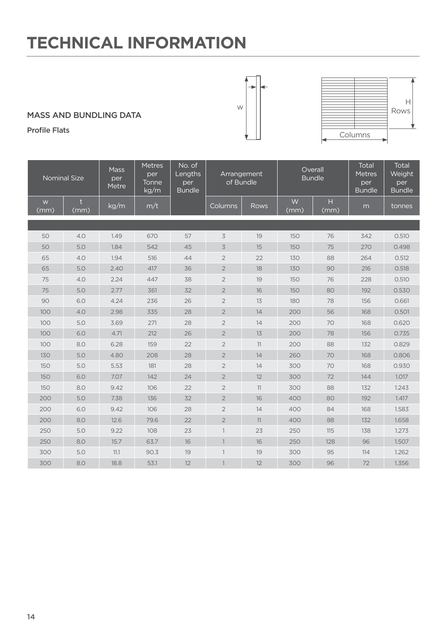## mass and bundling data

Profile Flats

| <b>Nominal Size</b> |           | <b>Mass</b><br>per<br>Metre | <b>Metres</b><br>per<br>Tonne<br>kg/m | No. of<br>Lengths<br>per<br><b>Bundle</b> | Arrangement<br>of Bundle |      |           | Overall<br><b>Bundle</b> | <b>Total</b><br><b>Metres</b><br>per<br><b>Bundle</b> | <b>Total</b><br>Weight<br>per<br><b>Bundle</b> |
|---------------------|-----------|-----------------------------|---------------------------------------|-------------------------------------------|--------------------------|------|-----------|--------------------------|-------------------------------------------------------|------------------------------------------------|
| W<br>(mm)           | t<br>(mm) | kg/m                        | m/t                                   |                                           | Columns                  | Rows | W<br>(mm) | H<br>(mm)                | m                                                     | tonnes                                         |
|                     |           |                             |                                       |                                           |                          |      |           |                          |                                                       |                                                |
| 50                  | 4.0       | 1.49                        | 670                                   | 57                                        | $\overline{3}$           | 19   | 150       | 76                       | 342                                                   | 0.510                                          |
| 50                  | 5.0       | 1.84                        | 542                                   | 45                                        | $\overline{3}$           | 15   | 150       | 75                       | 270                                                   | 0.498                                          |
| 65                  | 4.0       | 1.94                        | 516                                   | 44                                        | $\overline{2}$           | 22   | 130       | 88                       | 264                                                   | 0.512                                          |
| 65                  | 5.0       | 2.40                        | 417                                   | 36                                        | $\overline{2}$           | 18   | 130       | 90                       | 216                                                   | 0.518                                          |
| 75                  | 4.0       | 2.24                        | 447                                   | 38                                        | $\sqrt{2}$               | 19   | 150       | 76                       | 228                                                   | 0.510                                          |
| 75                  | 5.0       | 2.77                        | 361                                   | 32                                        | $\overline{2}$           | 16   | 150       | 80                       | 192                                                   | 0.530                                          |
| 90                  | 6.0       | 4.24                        | 236                                   | 26                                        | $\overline{2}$           | 13   | 180       | 78                       | 156                                                   | 0.661                                          |
| 100                 | 4.0       | 2.98                        | 335                                   | 28                                        | $\overline{2}$           | 14   | 200       | 56                       | 168                                                   | 0.501                                          |
| 100                 | 5.0       | 3.69                        | 271                                   | 28                                        | $\overline{2}$           | 14   | 200       | 70                       | 168                                                   | 0.620                                          |
| 100                 | 6.0       | 4.71                        | 212                                   | 26                                        | $\overline{2}$           | 13   | 200       | 78                       | 156                                                   | 0.735                                          |
| 100                 | 8.0       | 6.28                        | 159                                   | 22                                        | $\overline{2}$           | 11   | 200       | 88                       | 132                                                   | 0.829                                          |
| 130                 | 5.0       | 4.80                        | 208                                   | 28                                        | $\sqrt{2}$               | 14   | 260       | 70                       | 168                                                   | 0.806                                          |
| 150                 | 5.0       | 5.53                        | 181                                   | 28                                        | $\overline{2}$           | 14   | 300       | 70                       | 168                                                   | 0.930                                          |
| 150                 | 6.0       | 7.07                        | 142                                   | 24                                        | $\overline{2}$           | 12   | 300       | 72                       | 144                                                   | 1.017                                          |
| 150                 | 8.0       | 9.42                        | 106                                   | 22                                        | $\overline{2}$           | 11   | 300       | 88                       | 132                                                   | 1.243                                          |
| 200                 | 5.0       | 7.38                        | 136                                   | 32                                        | $\overline{2}$           | 16   | 400       | 80                       | 192                                                   | 1.417                                          |
| 200                 | 6.0       | 9.42                        | 106                                   | 28                                        | $\overline{2}$           | 14   | 400       | 84                       | 168                                                   | 1.583                                          |
| 200                 | 8.0       | 12.6                        | 79.6                                  | 22                                        | $\overline{2}$           | 11   | 400       | 88                       | 132                                                   | 1.658                                          |
| 250                 | 5.0       | 9.22                        | 108                                   | 23                                        | $\overline{\phantom{a}}$ | 23   | 250       | 115                      | 138                                                   | 1.273                                          |
| 250                 | 8.0       | 15.7                        | 63.7                                  | 16                                        | $\mathbf{1}$             | 16   | 250       | 128                      | 96                                                    | 1.507                                          |
| 300                 | 5.0       | 11.1                        | 90.3                                  | 19                                        | $\mathbf{1}$             | 19   | 300       | 95                       | 114                                                   | 1.262                                          |
| 300                 | 8.0       | 18.8                        | 53.1                                  | 12                                        |                          | 12   | 300       | 96                       | 72                                                    | 1.356                                          |



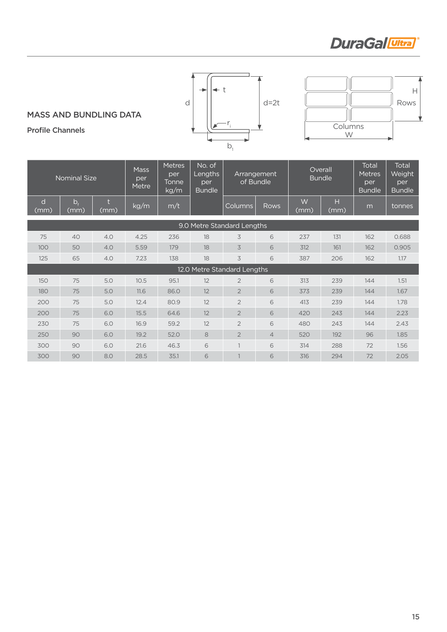# **DuraGal** Ultra

 $\boldsymbol{\mathsf{H}}$ Rows

W Columns

 $\mathbb{N}$ 

 $\mathbb{R}$ 

 $\sqrt{\frac{1}{2}}$ 



#### mass and bundling data

Profile Channels

| <b>Nominal Size</b>         |                     |      | <b>Mass</b><br>per<br>Metre | <b>Metres</b><br>per<br>Tonne<br>kg/m | No. of<br>Lengths<br>per<br><b>Bundle</b> | Arrangement<br>of Bundle |                | Overall<br><b>Bundle</b> |           | Total<br><b>Metres</b><br>per<br><b>Bundle</b> | Total<br>Weight<br>per<br><b>Bundle</b> |
|-----------------------------|---------------------|------|-----------------------------|---------------------------------------|-------------------------------------------|--------------------------|----------------|--------------------------|-----------|------------------------------------------------|-----------------------------------------|
| d<br>(mm)                   | $b_{\rm f}$<br>(mm) | (mm) | kg/m                        | m/t                                   |                                           | <b>Columns</b>           | Rows           | W<br>(mm)                | Н<br>(mm) | m                                              | tonnes                                  |
| 9.0 Metre Standard Lengths  |                     |      |                             |                                       |                                           |                          |                |                          |           |                                                |                                         |
| 75                          | 40                  | 4.0  | 4.25                        | 236                                   | 18                                        | 3                        | 6              | 237                      | 131       | 162                                            | 0.688                                   |
| 100                         | 50                  | 4.0  | 5.59                        | 179                                   | 18                                        | 3                        | 6              | 312                      | 161       | 162                                            | 0.905                                   |
| 125                         | 65                  | 4.0  | 7.23                        | 138                                   | 18                                        | 3                        | 6              | 387                      | 206       | 162                                            | 1.17                                    |
| 12.0 Metre Standard Lengths |                     |      |                             |                                       |                                           |                          |                |                          |           |                                                |                                         |
| 150                         | 75                  | 5.0  | 10.5                        | 95.1                                  | 12                                        | $\overline{2}$           | 6              | 313                      | 239       | 144                                            | 1.51                                    |
| 180                         | 75                  | 5.0  | 11.6                        | 86.0                                  | 12                                        | $\overline{2}$           | 6              | 373                      | 239       | 144                                            | 1.67                                    |
| 200                         | 75                  | 5.0  | 12.4                        | 80.9                                  | 12                                        | $\overline{2}$           | 6              | 413                      | 239       | 144                                            | 1.78                                    |
| 200                         | 75                  | 6.0  | 15.5                        | 64.6                                  | 12                                        | $\overline{2}$           | 6              | 420                      | 243       | 144                                            | 2.23                                    |
| 230                         | 75                  | 6.0  | 16.9                        | 59.2                                  | 12                                        | $\overline{2}$           | 6              | 480                      | 243       | 144                                            | 2.43                                    |
| 250                         | 90                  | 6.0  | 19.2                        | 52.0                                  | 8                                         | $\overline{2}$           | $\overline{4}$ | 520                      | 192       | 96                                             | 1.85                                    |
| 300                         | 90                  | 6.0  | 21.6                        | 46.3                                  | 6                                         | $\mathbf{1}$             | 6              | 314                      | 288       | 72                                             | 1.56                                    |
| 300                         | 90                  | 8.0  | 28.5                        | 35.1                                  | 6                                         |                          | 6              | 316                      | 294       | 72                                             | 2.05                                    |